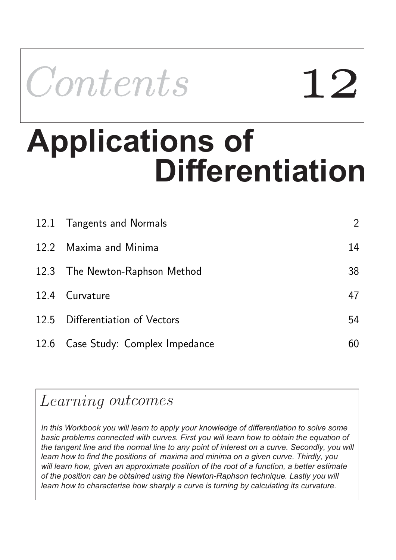

# **Differentiation Applications of**

| 12.1 Tangents and Normals          | $\overline{2}$ |
|------------------------------------|----------------|
| 12.2 Maxima and Minima             | 14             |
| 12.3 The Newton-Raphson Method     | 38             |
| 12.4 Curvature                     | 47             |
| 12.5 Differentiation of Vectors    | 54             |
| 12.6 Case Study: Complex Impedance | 60             |

## Learning outcomes

*In this Workbook you will learn to apply your knowledge of differentiation to solve some basic problems connected with curves. First you will learn how to obtain the equation of the tangent line and the normal line to any point of interest on a curve. Secondly, you will learn how to find the positions of maxima and minima on a given curve. Thirdly, you will learn how, given an approximate position of the root of a function, a better estimate of the position can be obtained using the Newton-Raphson technique. Lastly you will learn how to characterise how sharply a curve is turning by calculating its curvature.*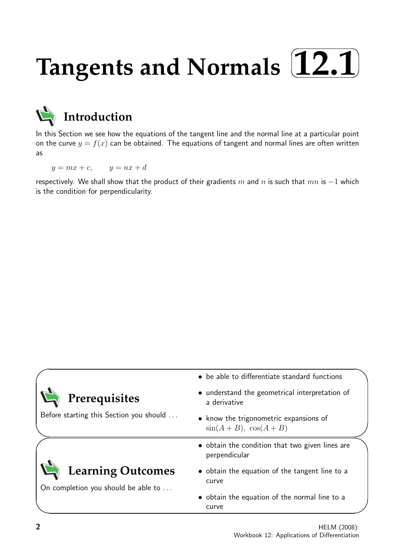#### **Tangents and Normals**  $\sqrt{2}$ ✒ **12.1**✑ ✏



In this Section we see how the equations of the tangent line and the normal line at a particular point on the curve  $y = f(x)$  can be obtained. The equations of tangent and normal lines are often written as

 $y = mx + c$ ,  $y = nx + d$ 

respectively. We shall show that the product of their gradients m and n is such that  $mn$  is  $-1$  which is the condition for perpendicularity.

|                                                                 | • be able to differentiate standard functions                    |
|-----------------------------------------------------------------|------------------------------------------------------------------|
| Prerequisites                                                   | • understand the geometrical interpretation of<br>a derivative   |
| Before starting this Section you should                         | • know the trigonometric expansions of<br>$sin(A+B), cos(A+B)$   |
|                                                                 | • obtain the condition that two given lines are<br>perpendicular |
| <b>Learning Outcomes</b><br>On completion you should be able to | • obtain the equation of the tangent line to a<br>curve          |
|                                                                 | • obtain the equation of the normal line to a<br>curve           |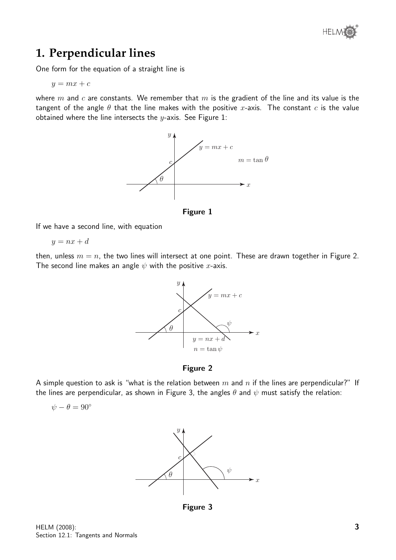

## **1. Perpendicular lines**

One form for the equation of a straight line is

 $y = mx + c$ 

where  $m$  and  $c$  are constants. We remember that  $m$  is the gradient of the line and its value is the tangent of the angle  $\theta$  that the line makes with the positive x-axis. The constant c is the value obtained where the line intersects the  $y$ -axis. See Figure 1:



Figure 1

If we have a second line, with equation

$$
y = nx + d
$$

then, unless  $m = n$ , the two lines will intersect at one point. These are drawn together in Figure 2. The second line makes an angle  $\psi$  with the positive x-axis.



Figure 2

A simple question to ask is "what is the relation between  $m$  and  $n$  if the lines are perpendicular?" If the lines are perpendicular, as shown in Figure 3, the angles  $\theta$  and  $\psi$  must satisfy the relation:

$$
\psi-\theta=90^\circ
$$



Figure 3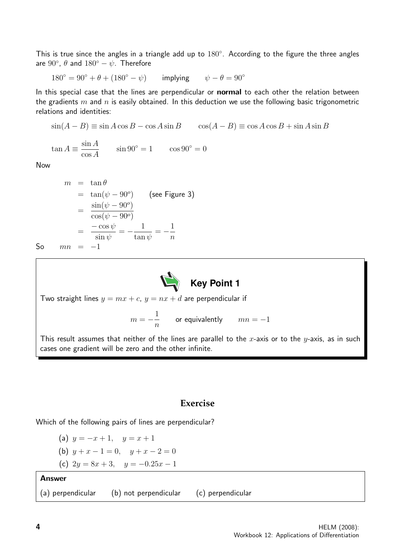This is true since the angles in a triangle add up to  $180^\circ$ . According to the figure the three angles are  $90^\circ$ ,  $\theta$  and  $180^\circ - \psi$ . Therefore

 $180^\circ = 90^\circ + \theta + (180^\circ - \psi)$  implying  $\psi - \theta = 90^\circ$ 

In this special case that the lines are perpendicular or **normal** to each other the relation between the gradients  $m$  and  $n$  is easily obtained. In this deduction we use the following basic trigonometric relations and identities:

$$
\sin(A - B) \equiv \sin A \cos B - \cos A \sin B \qquad \cos(A - B) \equiv \cos A \cos B + \sin A \sin B
$$

$$
\tan A \equiv \frac{\sin A}{\cos A} \qquad \sin 90^\circ = 1 \qquad \cos 90^\circ = 0
$$

Now

$$
m = \tan \theta
$$
  
=  $\tan(\psi - 90^{\circ})$  (see Figure 3)  
=  $\frac{\sin(\psi - 90^{\circ})}{\cos(\psi - 90^{\circ})}$   
=  $\frac{-\cos \psi}{\sin \psi} = -\frac{1}{\tan \psi} = -\frac{1}{n}$   
So  $mn = -1$ 



Two straight lines  $y = mx + c$ ,  $y = nx + d$  are perpendicular if

$$
m=-\frac{1}{n} \qquad \text{or equivalently} \qquad mn=-1
$$

This result assumes that neither of the lines are parallel to the x-axis or to the y-axis, as in such cases one gradient will be zero and the other infinite.

#### **Exercise**

Which of the following pairs of lines are perpendicular?

- (a)  $y = -x + 1$ ,  $y = x + 1$
- (b)  $y + x 1 = 0$ ,  $y + x 2 = 0$
- (c)  $2y = 8x + 3$ ,  $y = -0.25x 1$

#### Answer

(a) perpendicular (b) not perpendicular (c) perpendicular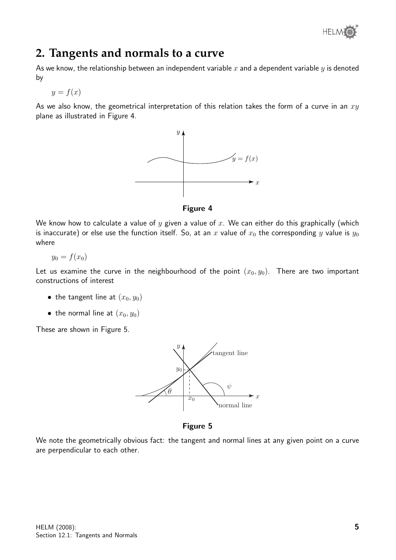

## **2. Tangents and normals to a curve**

As we know, the relationship between an independent variable  $x$  and a dependent variable  $y$  is denoted by

$$
y = f(x)
$$

As we also know, the geometrical interpretation of this relation takes the form of a curve in an  $xy$ plane as illustrated in Figure 4.





We know how to calculate a value of y given a value of x. We can either do this graphically (which is inaccurate) or else use the function itself. So, at an x value of  $x_0$  the corresponding y value is  $y_0$ where

$$
y_0 = f(x_0)
$$

Let us examine the curve in the neighbourhood of the point  $(x_0, y_0)$ . There are two important constructions of interest

- the tangent line at  $(x_0, y_0)$
- the normal line at  $(x_0, y_0)$

These are shown in Figure 5.



Figure 5

We note the geometrically obvious fact: the tangent and normal lines at any given point on a curve are perpendicular to each other.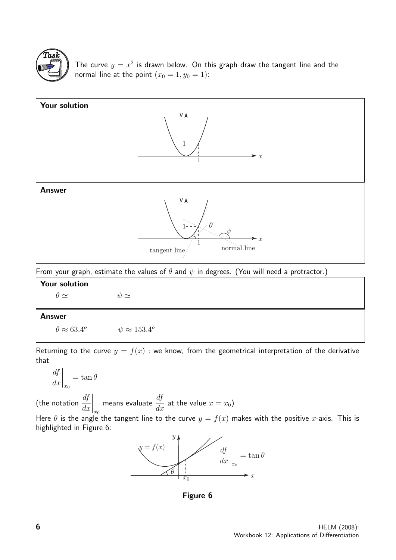

The curve  $y = x^2$  is drawn below. On this graph draw the tangent line and the normal line at the point  $(x_0 = 1, y_0 = 1)$ :



From your graph, estimate the values of  $\theta$  and  $\psi$  in degrees. (You will need a protractor.)

| <b>Your solution</b>          |                              |  |  |  |  |
|-------------------------------|------------------------------|--|--|--|--|
| $\theta \simeq$               | $\psi \simeq$                |  |  |  |  |
|                               |                              |  |  |  |  |
| <b>Answer</b>                 |                              |  |  |  |  |
| $\theta \approx 63.4^{\circ}$ | $\psi \approx 153.4^{\circ}$ |  |  |  |  |

Returning to the curve  $y = f(x)$ : we know, from the geometrical interpretation of the derivative that

$$
\left. \frac{df}{dx} \right|_{x_0} = \tan \theta
$$

(the notation  $\frac{df}{dt}$  $dx$  $\Bigg|_{x_0}$ means evaluate  $\frac{df}{dt}$  $\frac{dy}{dx}$  at the value  $x = x_0$ )

Here  $\theta$  is the angle the tangent line to the curve  $y = f(x)$  makes with the positive x-axis. This is highlighted in Figure 6:



Figure 6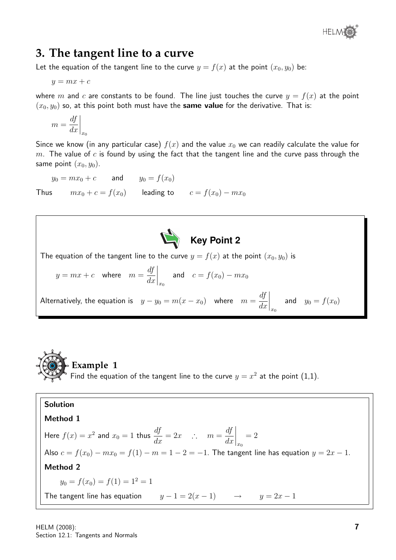

## **3. The tangent line to a curve**

Let the equation of the tangent line to the curve  $y = f(x)$  at the point  $(x_0, y_0)$  be:

 $y = mx + c$ 

where m and c are constants to be found. The line just touches the curve  $y = f(x)$  at the point  $(x_0, y_0)$  so, at this point both must have the **same value** for the derivative. That is:

$$
m = \frac{df}{dx}\bigg|_{x_0}
$$

Since we know (in any particular case)  $f(x)$  and the value  $x_0$  we can readily calculate the value for  $m$ . The value of  $c$  is found by using the fact that the tangent line and the curve pass through the same point  $(x_0, y_0)$ .

 $y_0 = mx_0 + c$  and  $y_0 = f(x_0)$ 

Thus  $mx_0 + c = f(x_0)$  leading to  $c = f(x_0) - mx_0$ 



The equation of the tangent line to the curve  $y = f(x)$  at the point  $(x_0, y_0)$  is

$$
y = mx + c
$$
 where  $m = \frac{df}{dx}\Big|_{x_0}$  and  $c = f(x_0) - mx_0$ 

Alternatively, the equation is  $y - y_0 = m(x - x_0)$  where  $m = \frac{df}{dx}$  $dx$  $\bigg|_{x_0}$ and  $y_0 = f(x_0)$ 



**Solution**  
\n**Method 1**  
\nHere 
$$
f(x) = x^2
$$
 and  $x_0 = 1$  thus  $\frac{df}{dx} = 2x$   $\therefore$   $m = \frac{df}{dx}\Big|_{x_0} = 2$   
\nAlso  $c = f(x_0) - mx_0 = f(1) - m = 1 - 2 = -1$ . The tangent line has equation  $y = 2x - 1$ .  
\n**Method 2**  
\n $y_0 = f(x_0) = f(1) = 1^2 = 1$   
\nThe tangent line has equation  $y - 1 = 2(x - 1)$   $\rightarrow$   $y = 2x - 1$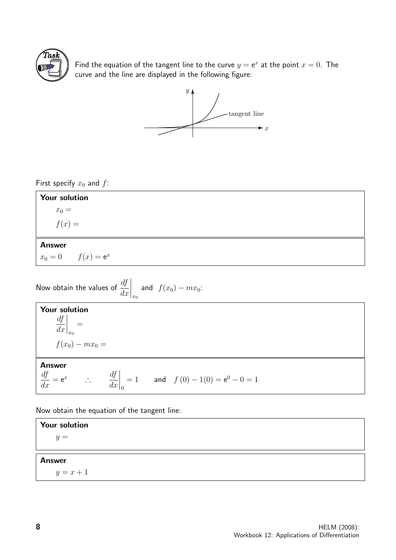

Find the equation of the tangent line to the curve  $y = e^x$  at the point  $x = 0$ . The curve and the line are displayed in the following figure:



First specify  $x_0$  and  $f$ :



Now obtain the values of 
$$
\frac{df}{dx}\Big|_{x_0}
$$
 and  $f(x_0) - mx_0$ :  
\n**Your solution**  
\n
$$
\frac{df}{dx}\Big|_{x_0} = f(x_0) - mx_0 =
$$
\n**Answer**  
\n $\frac{df}{dx} = e^x$   $\therefore$   $\frac{df}{dx}\Big|_{0} = 1$  and  $f(0) - 1(0) = e^0 - 0 = 1$ 

Now obtain the equation of the tangent line:

Your solution  $y =$ Answer  $y = x + 1$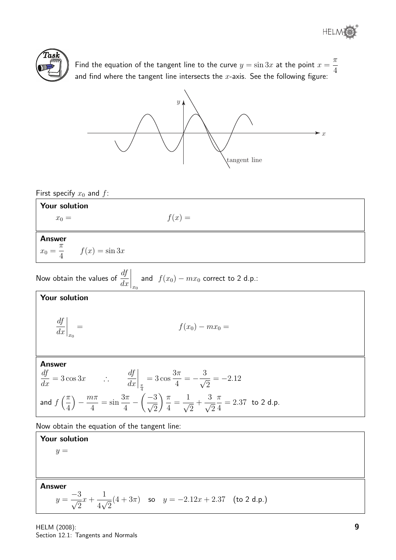

Find the equation of the tangent line to the curve  $y = \sin 3x$  at the point  $x =$  $\pi$ 4 and find where the tangent line intersects the  $x$ -axis. See the following figure:



First specify  $x_0$  and  $f$ :

| <b>Your solution</b>                      |          |  |  |
|-------------------------------------------|----------|--|--|
| $x_0 =$                                   | $f(x) =$ |  |  |
|                                           |          |  |  |
| <b>Answer</b>                             |          |  |  |
| $x_0 = \frac{\pi}{4}$<br>$f(x) = \sin 3x$ |          |  |  |
|                                           |          |  |  |

Now obtain the values of 
$$
\frac{df}{dx}\Big|_{x_0}
$$
 and  $f(x_0) - mx_0$  correct to 2 d.p.:

Your solution

$$
\left. \frac{df}{dx} \right|_{x_0} = f(x_0) - mx_0 =
$$

#### Answer

$$
\frac{df}{dx} = 3\cos 3x \qquad \therefore \qquad \frac{df}{dx}\bigg|_{\frac{\pi}{4}} = 3\cos \frac{3\pi}{4} = -\frac{3}{\sqrt{2}} = -2.12
$$
\n
$$
\text{and } f\left(\frac{\pi}{4}\right) - \frac{m\pi}{4} = \sin \frac{3\pi}{4} - \left(\frac{-3}{\sqrt{2}}\right) \frac{\pi}{4} = \frac{1}{\sqrt{2}} + \frac{3}{\sqrt{2}} \frac{\pi}{4} = 2.37 \text{ to } 2 \text{ d.p.}
$$

Now obtain the equation of the tangent line:

#### Your solution  $y =$

Answer

$$
y = \frac{-3}{\sqrt{2}}x + \frac{1}{4\sqrt{2}}(4+3\pi) \quad \text{so} \quad y = -2.12x + 2.37 \quad \text{(to 2 d.p.)}
$$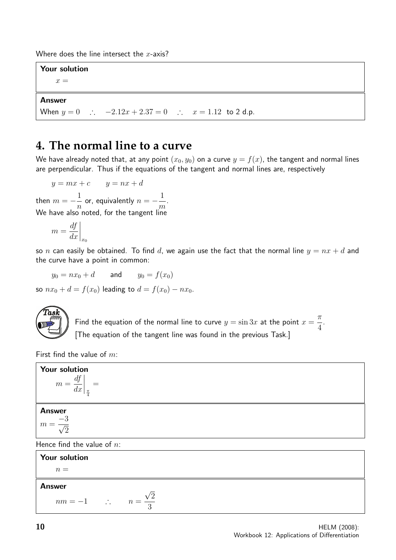Where does the line intersect the  $x$ -axis?

Your solution

 $x =$ 

#### Answer

When  $y = 0$  ∴  $-2.12x + 2.37 = 0$  ∴  $x = 1.12$  to 2 d.p.

## **4. The normal line to a curve**

We have already noted that, at any point  $(x_0, y_0)$  on a curve  $y = f(x)$ , the tangent and normal lines are perpendicular. Thus if the equations of the tangent and normal lines are, respectively

$$
y = mx + c \qquad y = nx + d
$$

then  $m=-\frac{1}{2}$ n or, equivalently  $n=-\frac{1}{2}$ m . We have also noted, for the tangent line

$$
m = \frac{df}{dx}\bigg|_{x_0}
$$

so *n* can easily be obtained. To find *d*, we again use the fact that the normal line  $y = nx + d$  and the curve have a point in common:

 $y_0 = nx_0 + d$  and  $y_0 = f(x_0)$ 

so  $nx_0 + d = f(x_0)$  leading to  $d = f(x_0) - nx_0$ .



Find the equation of the normal line to curve  $y = \sin 3x$  at the point  $x =$  $\pi$ 4 [The equation of the tangent line was found in the previous Task.]

First find the value of  $m$ :

| Your solution<br>$m = \frac{df}{dx}\bigg _{\frac{\pi}{4}} =$     |  |  |  |  |
|------------------------------------------------------------------|--|--|--|--|
| <b>Answer</b><br>$m=\frac{-3}{\sqrt{2}}$                         |  |  |  |  |
| Hence find the value of $n$ :                                    |  |  |  |  |
| Your solution                                                    |  |  |  |  |
| $n =$                                                            |  |  |  |  |
| <b>Answer</b><br>$nm = -1$ $\therefore$ $n = \frac{\sqrt{2}}{3}$ |  |  |  |  |

.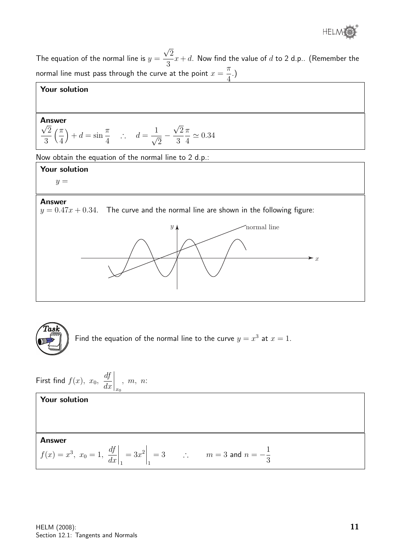

The equation of the normal line is  $y=$ √ 2 3  $x+d$ . Now find the value of  $d$  to 2 d.p.. (Remember the normal line must pass through the curve at the point  $x =$  $\pi$ 4 .)

#### Your solution

### Answer √

Answer  
\n
$$
\frac{\sqrt{2}}{3} \left( \frac{\pi}{4} \right) + d = \sin \frac{\pi}{4}
$$
 :  $d = \frac{1}{\sqrt{2}} - \frac{\sqrt{2}}{3} \frac{\pi}{4} \approx 0.34$ 

Now obtain the equation of the normal line to 2 d.p.:

#### Your solution

 $y =$ 

#### Answer

 $y = 0.47x + 0.34$ . The curve and the normal line are shown in the following figure:





Find the equation of the normal line to the curve  $y = x^3$  at  $x = 1$ .

First find 
$$
f(x)
$$
,  $x_0$ ,  $\frac{df}{dx}\Big|_{x_0}$ ,  $m$ ,  $n$ :

#### Your solution

#### Answer

$$
f(x) = x^3
$$
,  $x_0 = 1$ ,  $\left. \frac{df}{dx} \right|_1 = 3x^2 \bigg|_1 = 3$   $\therefore$   $m = 3$  and  $n = -\frac{1}{3}$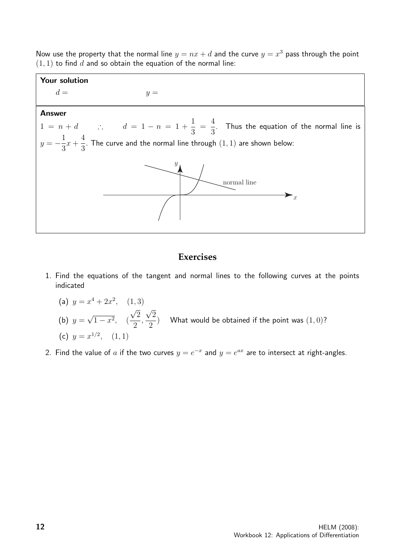Now use the property that the normal line  $y = nx + d$  and the curve  $y = x^3$  pass through the point  $(1, 1)$  to find d and so obtain the equation of the normal line:



#### **Exercises**

- 1. Find the equations of the tangent and normal lines to the following curves at the points indicated
	- (a)  $y = x^4 + 2x^2$ , (1,3)  $(b)$   $y =$ √  $1-x^2$ , ( √ 2 2 , √ 2 2 ) What would be obtained if the point was  $(1,0)$ ? (c)  $y = x^{1/2}$ ,  $(1, 1)$
- 2. Find the value of a if the two curves  $y = e^{-x}$  and  $y = e^{ax}$  are to intersect at right-angles.